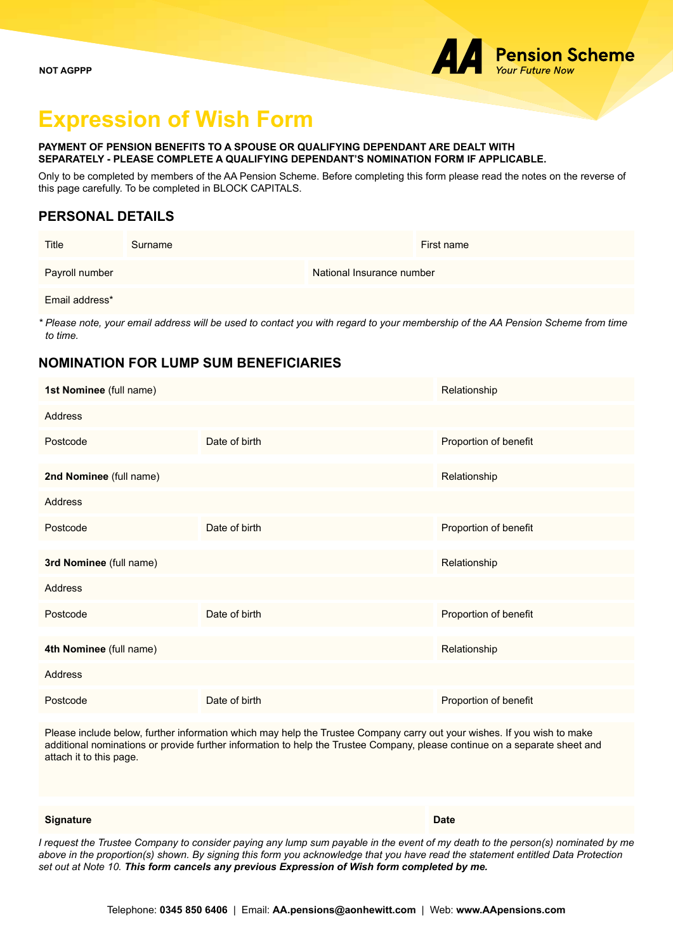# **Expression of Wish Form**

#### **PAYMENT OF PENSION BENEFITS TO A SPOUSE OR QUALIFYING DEPENDANT ARE DEALT WITH SEPARATELY - PLEASE COMPLETE A QUALIFYING DEPENDANT'S NOMINATION FORM IF APPLICABLE.**

Only to be completed by members of the AA Pension Scheme. Before completing this form please read the notes on the reverse of this page carefully. To be completed in BLOCK CAPITALS.

## **PERSONAL DETAILS**

| Title          | Surname | First name                |
|----------------|---------|---------------------------|
| Payroll number |         | National Insurance number |

Email address\*

*\* Please note, your email address will be used to contact you with regard to your membership of the AA Pension Scheme from time to time.*

### **NOMINATION FOR LUMP SUM BENEFICIARIES**

| 1st Nominee (full name) |               | Relationship          |
|-------------------------|---------------|-----------------------|
| Address                 |               |                       |
| Postcode                | Date of birth | Proportion of benefit |
| 2nd Nominee (full name) |               | Relationship          |
| Address                 |               |                       |
| Postcode                | Date of birth | Proportion of benefit |
| 3rd Nominee (full name) |               | Relationship          |
| Address                 |               |                       |
| Postcode                | Date of birth | Proportion of benefit |
| 4th Nominee (full name) |               | Relationship          |
| <b>Address</b>          |               |                       |
| Postcode                | Date of birth | Proportion of benefit |

Please include below, further information which may help the Trustee Company carry out your wishes. If you wish to make additional nominations or provide further information to help the Trustee Company, please continue on a separate sheet and attach it to this page.

#### **Signature Date**

*I request the Trustee Company to consider paying any lump sum payable in the event of my death to the person(s) nominated by me above in the proportion(s) shown. By signing this form you acknowledge that you have read the statement entitled Data Protection set out at Note 10. This form cancels any previous Expression of Wish form completed by me.*